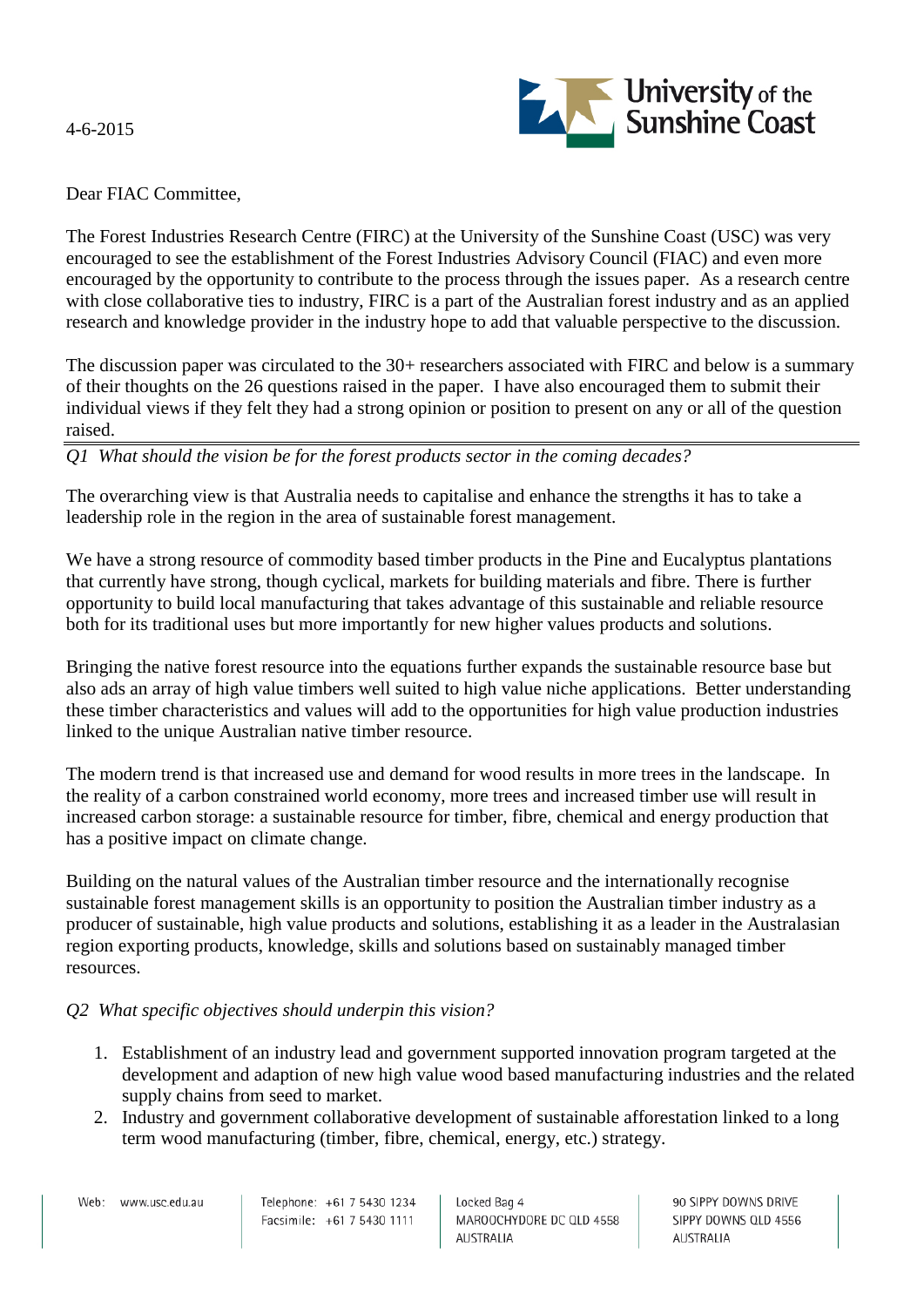4-6-2015



Dear FIAC Committee,

The Forest Industries Research Centre (FIRC) at the University of the Sunshine Coast (USC) was very encouraged to see the establishment of the Forest Industries Advisory Council (FIAC) and even more encouraged by the opportunity to contribute to the process through the issues paper. As a research centre with close collaborative ties to industry, FIRC is a part of the Australian forest industry and as an applied research and knowledge provider in the industry hope to add that valuable perspective to the discussion.

The discussion paper was circulated to the 30+ researchers associated with FIRC and below is a summary of their thoughts on the 26 questions raised in the paper. I have also encouraged them to submit their individual views if they felt they had a strong opinion or position to present on any or all of the question raised.

*Q1 What should the vision be for the forest products sector in the coming decades?*

The overarching view is that Australia needs to capitalise and enhance the strengths it has to take a leadership role in the region in the area of sustainable forest management.

We have a strong resource of commodity based timber products in the Pine and Eucalyptus plantations that currently have strong, though cyclical, markets for building materials and fibre. There is further opportunity to build local manufacturing that takes advantage of this sustainable and reliable resource both for its traditional uses but more importantly for new higher values products and solutions.

Bringing the native forest resource into the equations further expands the sustainable resource base but also ads an array of high value timbers well suited to high value niche applications. Better understanding these timber characteristics and values will add to the opportunities for high value production industries linked to the unique Australian native timber resource.

The modern trend is that increased use and demand for wood results in more trees in the landscape. In the reality of a carbon constrained world economy, more trees and increased timber use will result in increased carbon storage: a sustainable resource for timber, fibre, chemical and energy production that has a positive impact on climate change.

Building on the natural values of the Australian timber resource and the internationally recognise sustainable forest management skills is an opportunity to position the Australian timber industry as a producer of sustainable, high value products and solutions, establishing it as a leader in the Australasian region exporting products, knowledge, skills and solutions based on sustainably managed timber resources.

### *Q2 What specific objectives should underpin this vision?*

- 1. Establishment of an industry lead and government supported innovation program targeted at the development and adaption of new high value wood based manufacturing industries and the related supply chains from seed to market.
- 2. Industry and government collaborative development of sustainable afforestation linked to a long term wood manufacturing (timber, fibre, chemical, energy, etc.) strategy.

Web: www.usc.edu.au

Locked Bag 4 MAROOCHYDORE DC QLD 4558 AUSTRALIA

90 SIPPY DOWNS DRIVE SIPPY DOWNS QLD 4556 AUSTRALIA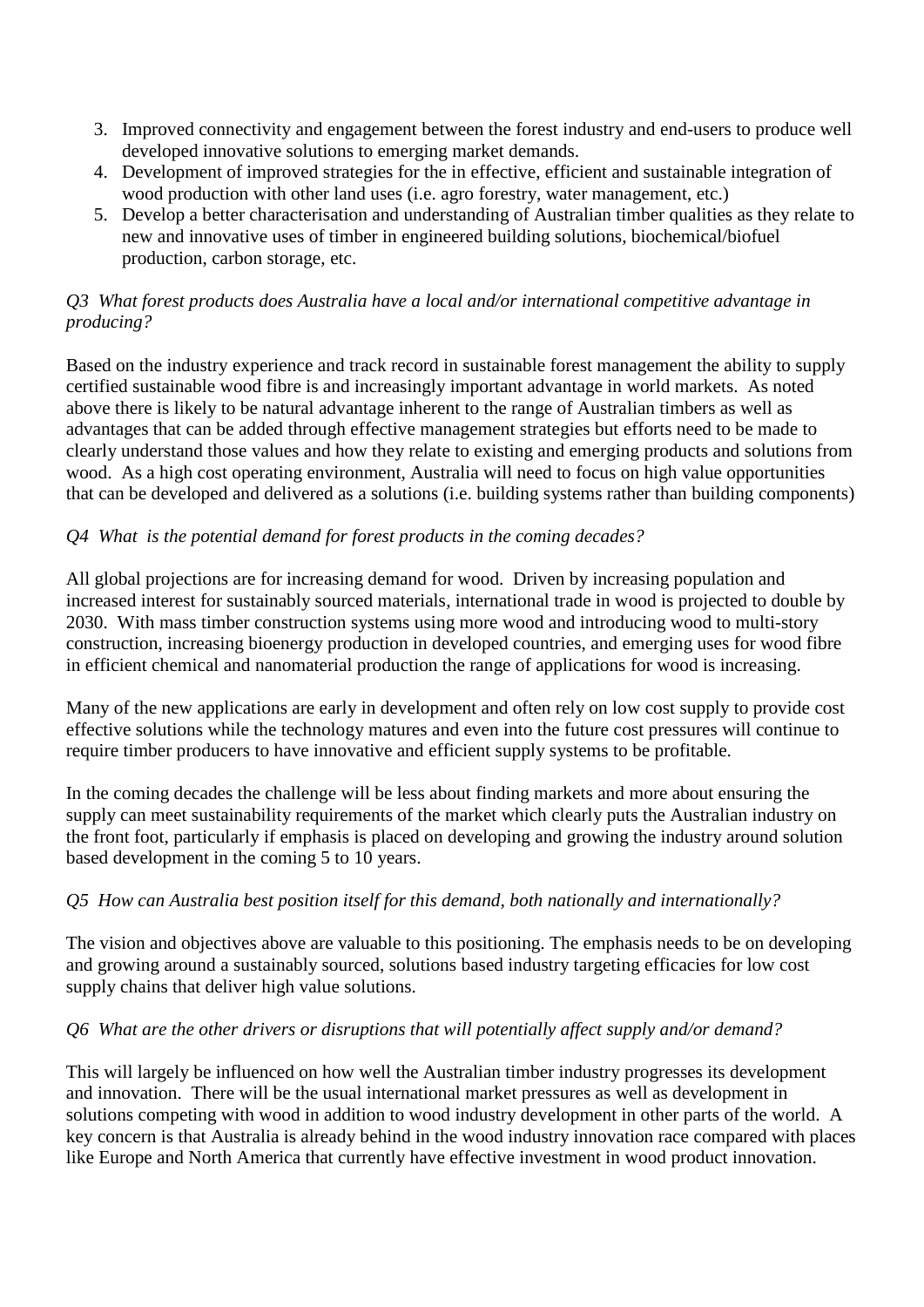- 3. Improved connectivity and engagement between the forest industry and end-users to produce well developed innovative solutions to emerging market demands.
- 4. Development of improved strategies for the in effective, efficient and sustainable integration of wood production with other land uses (i.e. agro forestry, water management, etc.)
- 5. Develop a better characterisation and understanding of Australian timber qualities as they relate to new and innovative uses of timber in engineered building solutions, biochemical/biofuel production, carbon storage, etc.

### *Q3 What forest products does Australia have a local and/or international competitive advantage in producing?*

Based on the industry experience and track record in sustainable forest management the ability to supply certified sustainable wood fibre is and increasingly important advantage in world markets. As noted above there is likely to be natural advantage inherent to the range of Australian timbers as well as advantages that can be added through effective management strategies but efforts need to be made to clearly understand those values and how they relate to existing and emerging products and solutions from wood. As a high cost operating environment, Australia will need to focus on high value opportunities that can be developed and delivered as a solutions (i.e. building systems rather than building components)

## *Q4 What is the potential demand for forest products in the coming decades?*

All global projections are for increasing demand for wood. Driven by increasing population and increased interest for sustainably sourced materials, international trade in wood is projected to double by 2030. With mass timber construction systems using more wood and introducing wood to multi-story construction, increasing bioenergy production in developed countries, and emerging uses for wood fibre in efficient chemical and nanomaterial production the range of applications for wood is increasing.

Many of the new applications are early in development and often rely on low cost supply to provide cost effective solutions while the technology matures and even into the future cost pressures will continue to require timber producers to have innovative and efficient supply systems to be profitable.

In the coming decades the challenge will be less about finding markets and more about ensuring the supply can meet sustainability requirements of the market which clearly puts the Australian industry on the front foot, particularly if emphasis is placed on developing and growing the industry around solution based development in the coming 5 to 10 years.

## *Q5 How can Australia best position itself for this demand, both nationally and internationally?*

The vision and objectives above are valuable to this positioning. The emphasis needs to be on developing and growing around a sustainably sourced, solutions based industry targeting efficacies for low cost supply chains that deliver high value solutions.

## *Q6 What are the other drivers or disruptions that will potentially affect supply and/or demand?*

This will largely be influenced on how well the Australian timber industry progresses its development and innovation. There will be the usual international market pressures as well as development in solutions competing with wood in addition to wood industry development in other parts of the world. A key concern is that Australia is already behind in the wood industry innovation race compared with places like Europe and North America that currently have effective investment in wood product innovation.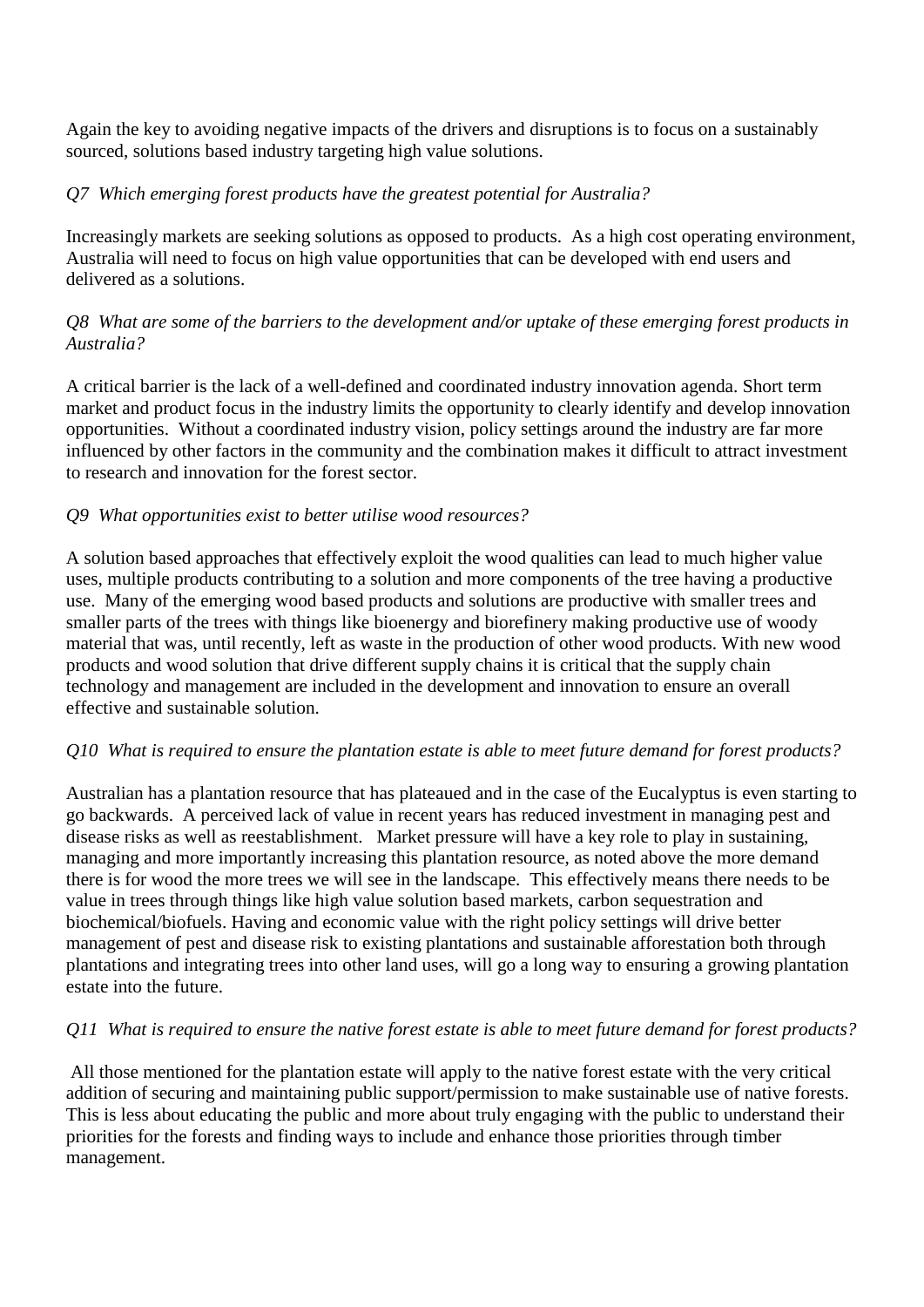Again the key to avoiding negative impacts of the drivers and disruptions is to focus on a sustainably sourced, solutions based industry targeting high value solutions.

## *Q7 Which emerging forest products have the greatest potential for Australia?*

Increasingly markets are seeking solutions as opposed to products. As a high cost operating environment, Australia will need to focus on high value opportunities that can be developed with end users and delivered as a solutions.

## *Q8 What are some of the barriers to the development and/or uptake of these emerging forest products in Australia?*

A critical barrier is the lack of a well-defined and coordinated industry innovation agenda. Short term market and product focus in the industry limits the opportunity to clearly identify and develop innovation opportunities. Without a coordinated industry vision, policy settings around the industry are far more influenced by other factors in the community and the combination makes it difficult to attract investment to research and innovation for the forest sector.

### *Q9 What opportunities exist to better utilise wood resources?*

A solution based approaches that effectively exploit the wood qualities can lead to much higher value uses, multiple products contributing to a solution and more components of the tree having a productive use. Many of the emerging wood based products and solutions are productive with smaller trees and smaller parts of the trees with things like bioenergy and biorefinery making productive use of woody material that was, until recently, left as waste in the production of other wood products. With new wood products and wood solution that drive different supply chains it is critical that the supply chain technology and management are included in the development and innovation to ensure an overall effective and sustainable solution.

## *Q10 What is required to ensure the plantation estate is able to meet future demand for forest products?*

Australian has a plantation resource that has plateaued and in the case of the Eucalyptus is even starting to go backwards. A perceived lack of value in recent years has reduced investment in managing pest and disease risks as well as reestablishment. Market pressure will have a key role to play in sustaining, managing and more importantly increasing this plantation resource, as noted above the more demand there is for wood the more trees we will see in the landscape. This effectively means there needs to be value in trees through things like high value solution based markets, carbon sequestration and biochemical/biofuels. Having and economic value with the right policy settings will drive better management of pest and disease risk to existing plantations and sustainable afforestation both through plantations and integrating trees into other land uses, will go a long way to ensuring a growing plantation estate into the future.

## *Q11 What is required to ensure the native forest estate is able to meet future demand for forest products?*

All those mentioned for the plantation estate will apply to the native forest estate with the very critical addition of securing and maintaining public support/permission to make sustainable use of native forests. This is less about educating the public and more about truly engaging with the public to understand their priorities for the forests and finding ways to include and enhance those priorities through timber management.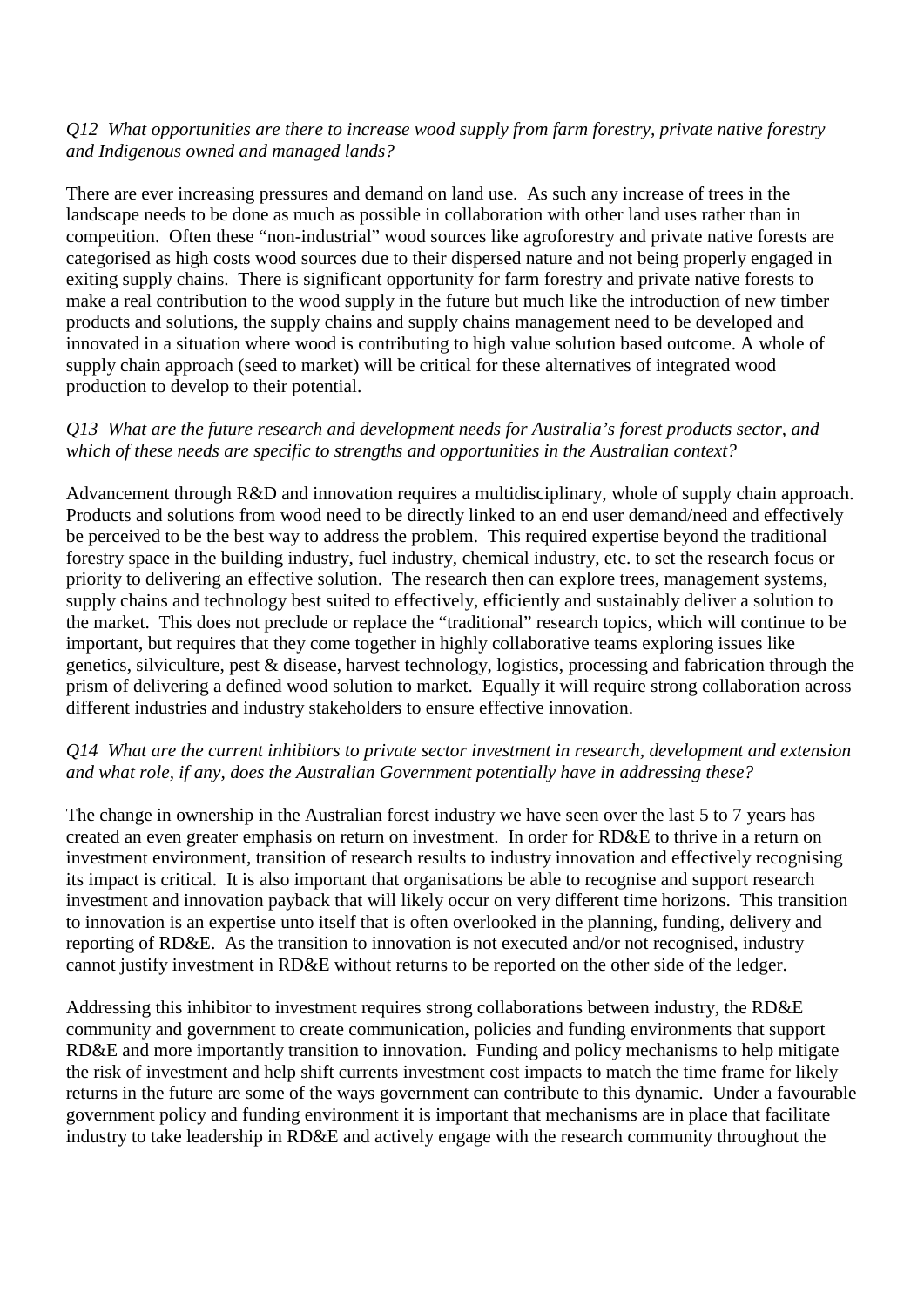#### *Q12 What opportunities are there to increase wood supply from farm forestry, private native forestry and Indigenous owned and managed lands?*

There are ever increasing pressures and demand on land use. As such any increase of trees in the landscape needs to be done as much as possible in collaboration with other land uses rather than in competition. Often these "non-industrial" wood sources like agroforestry and private native forests are categorised as high costs wood sources due to their dispersed nature and not being properly engaged in exiting supply chains. There is significant opportunity for farm forestry and private native forests to make a real contribution to the wood supply in the future but much like the introduction of new timber products and solutions, the supply chains and supply chains management need to be developed and innovated in a situation where wood is contributing to high value solution based outcome. A whole of supply chain approach (seed to market) will be critical for these alternatives of integrated wood production to develop to their potential.

### *Q13 What are the future research and development needs for Australia's forest products sector, and which of these needs are specific to strengths and opportunities in the Australian context?*

Advancement through R&D and innovation requires a multidisciplinary, whole of supply chain approach. Products and solutions from wood need to be directly linked to an end user demand/need and effectively be perceived to be the best way to address the problem. This required expertise beyond the traditional forestry space in the building industry, fuel industry, chemical industry, etc. to set the research focus or priority to delivering an effective solution. The research then can explore trees, management systems, supply chains and technology best suited to effectively, efficiently and sustainably deliver a solution to the market. This does not preclude or replace the "traditional" research topics, which will continue to be important, but requires that they come together in highly collaborative teams exploring issues like genetics, silviculture, pest & disease, harvest technology, logistics, processing and fabrication through the prism of delivering a defined wood solution to market. Equally it will require strong collaboration across different industries and industry stakeholders to ensure effective innovation.

### *Q14 What are the current inhibitors to private sector investment in research, development and extension and what role, if any, does the Australian Government potentially have in addressing these?*

The change in ownership in the Australian forest industry we have seen over the last 5 to 7 years has created an even greater emphasis on return on investment. In order for RD&E to thrive in a return on investment environment, transition of research results to industry innovation and effectively recognising its impact is critical. It is also important that organisations be able to recognise and support research investment and innovation payback that will likely occur on very different time horizons. This transition to innovation is an expertise unto itself that is often overlooked in the planning, funding, delivery and reporting of RD&E. As the transition to innovation is not executed and/or not recognised, industry cannot justify investment in RD&E without returns to be reported on the other side of the ledger.

Addressing this inhibitor to investment requires strong collaborations between industry, the RD&E community and government to create communication, policies and funding environments that support RD&E and more importantly transition to innovation. Funding and policy mechanisms to help mitigate the risk of investment and help shift currents investment cost impacts to match the time frame for likely returns in the future are some of the ways government can contribute to this dynamic. Under a favourable government policy and funding environment it is important that mechanisms are in place that facilitate industry to take leadership in RD&E and actively engage with the research community throughout the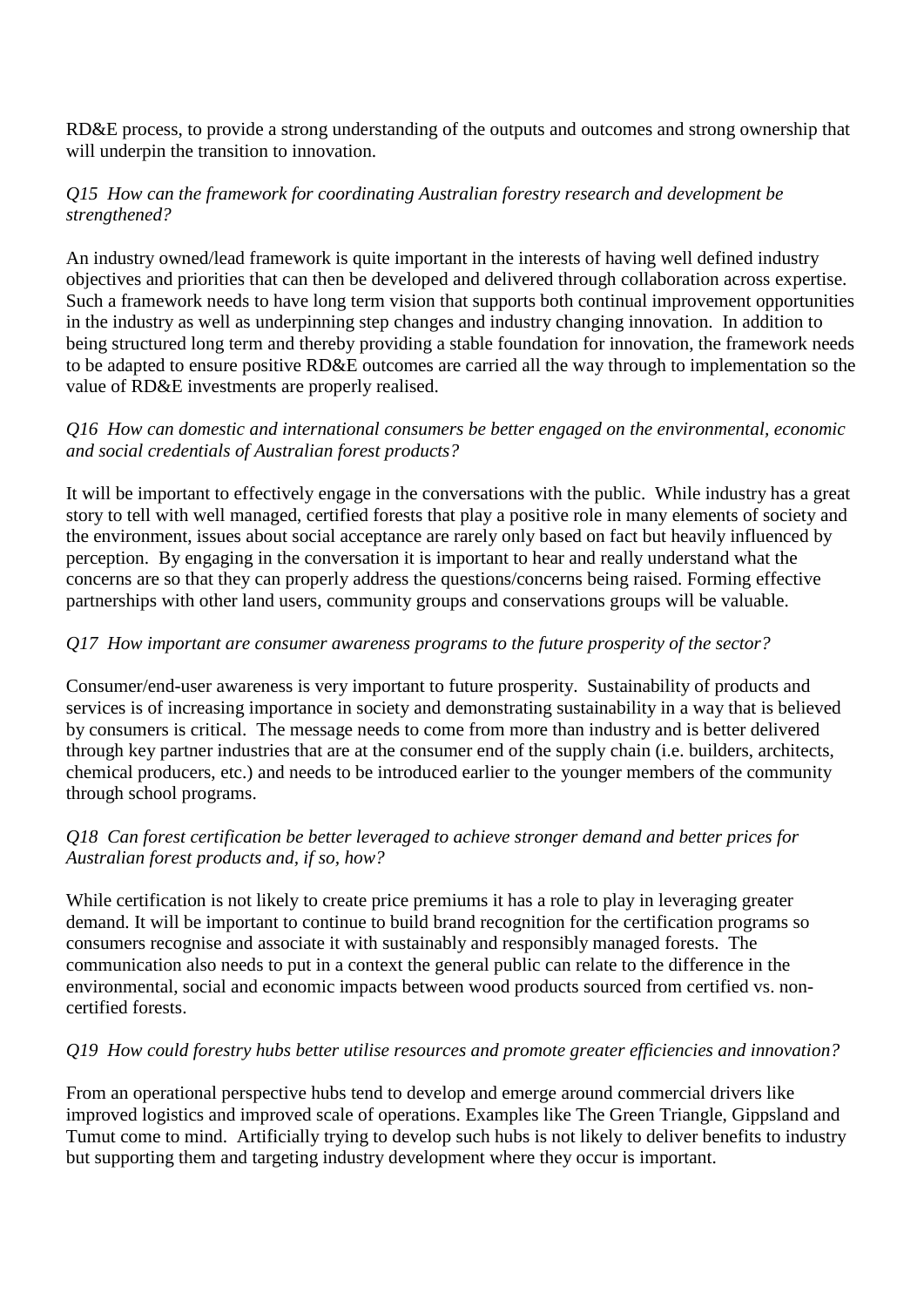RD&E process, to provide a strong understanding of the outputs and outcomes and strong ownership that will underpin the transition to innovation.

### *Q15 How can the framework for coordinating Australian forestry research and development be strengthened?*

An industry owned/lead framework is quite important in the interests of having well defined industry objectives and priorities that can then be developed and delivered through collaboration across expertise. Such a framework needs to have long term vision that supports both continual improvement opportunities in the industry as well as underpinning step changes and industry changing innovation. In addition to being structured long term and thereby providing a stable foundation for innovation, the framework needs to be adapted to ensure positive RD&E outcomes are carried all the way through to implementation so the value of RD&E investments are properly realised.

### *Q16 How can domestic and international consumers be better engaged on the environmental, economic and social credentials of Australian forest products?*

It will be important to effectively engage in the conversations with the public. While industry has a great story to tell with well managed, certified forests that play a positive role in many elements of society and the environment, issues about social acceptance are rarely only based on fact but heavily influenced by perception. By engaging in the conversation it is important to hear and really understand what the concerns are so that they can properly address the questions/concerns being raised. Forming effective partnerships with other land users, community groups and conservations groups will be valuable.

### *Q17 How important are consumer awareness programs to the future prosperity of the sector?*

Consumer/end-user awareness is very important to future prosperity. Sustainability of products and services is of increasing importance in society and demonstrating sustainability in a way that is believed by consumers is critical. The message needs to come from more than industry and is better delivered through key partner industries that are at the consumer end of the supply chain (i.e. builders, architects, chemical producers, etc.) and needs to be introduced earlier to the younger members of the community through school programs.

### *Q18 Can forest certification be better leveraged to achieve stronger demand and better prices for Australian forest products and, if so, how?*

While certification is not likely to create price premiums it has a role to play in leveraging greater demand. It will be important to continue to build brand recognition for the certification programs so consumers recognise and associate it with sustainably and responsibly managed forests. The communication also needs to put in a context the general public can relate to the difference in the environmental, social and economic impacts between wood products sourced from certified vs. noncertified forests.

## *Q19 How could forestry hubs better utilise resources and promote greater efficiencies and innovation?*

From an operational perspective hubs tend to develop and emerge around commercial drivers like improved logistics and improved scale of operations. Examples like The Green Triangle, Gippsland and Tumut come to mind. Artificially trying to develop such hubs is not likely to deliver benefits to industry but supporting them and targeting industry development where they occur is important.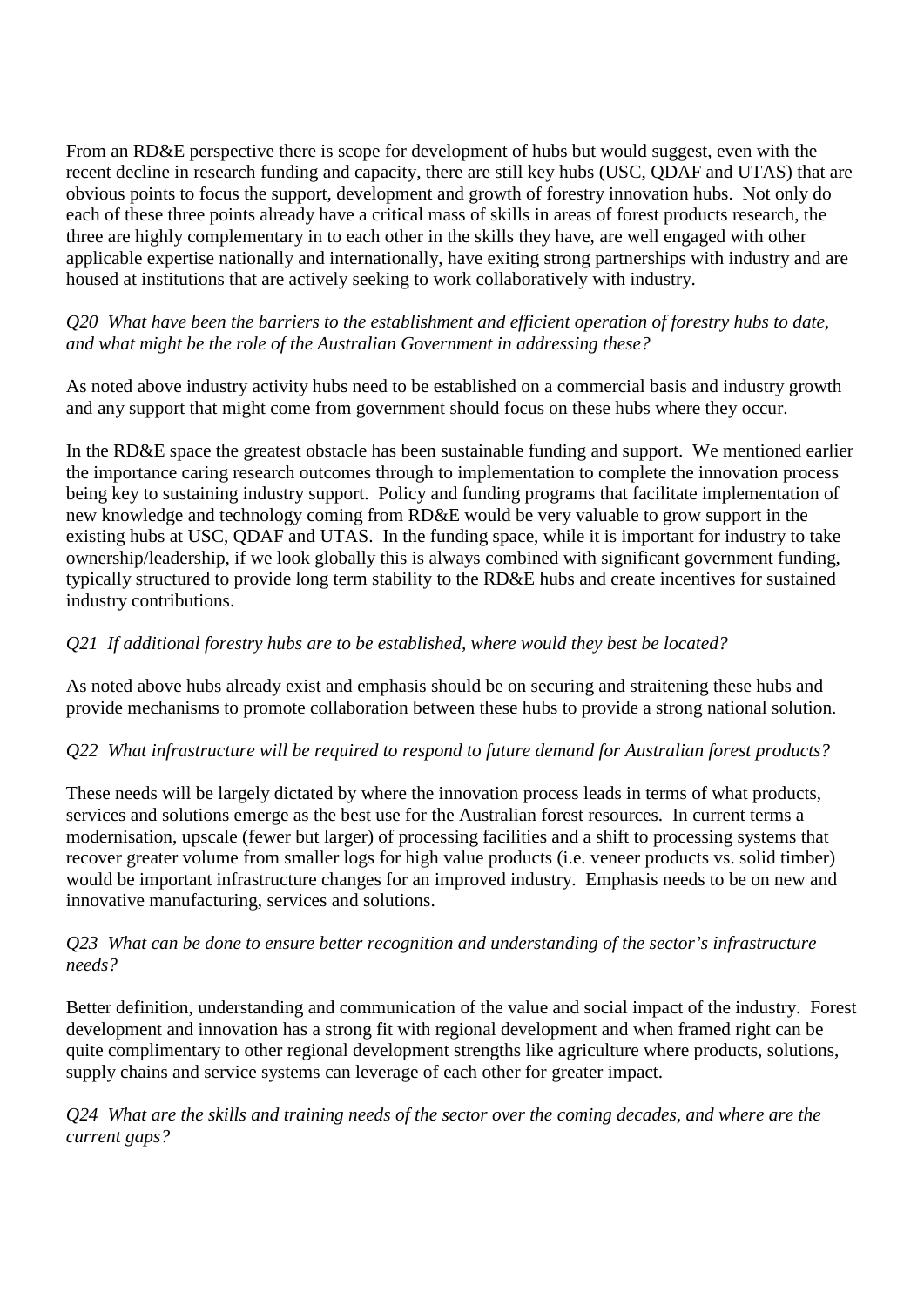From an RD&E perspective there is scope for development of hubs but would suggest, even with the recent decline in research funding and capacity, there are still key hubs (USC, QDAF and UTAS) that are obvious points to focus the support, development and growth of forestry innovation hubs. Not only do each of these three points already have a critical mass of skills in areas of forest products research, the three are highly complementary in to each other in the skills they have, are well engaged with other applicable expertise nationally and internationally, have exiting strong partnerships with industry and are housed at institutions that are actively seeking to work collaboratively with industry.

### *Q20 What have been the barriers to the establishment and efficient operation of forestry hubs to date, and what might be the role of the Australian Government in addressing these?*

As noted above industry activity hubs need to be established on a commercial basis and industry growth and any support that might come from government should focus on these hubs where they occur.

In the RD&E space the greatest obstacle has been sustainable funding and support. We mentioned earlier the importance caring research outcomes through to implementation to complete the innovation process being key to sustaining industry support. Policy and funding programs that facilitate implementation of new knowledge and technology coming from RD&E would be very valuable to grow support in the existing hubs at USC, QDAF and UTAS. In the funding space, while it is important for industry to take ownership/leadership, if we look globally this is always combined with significant government funding, typically structured to provide long term stability to the RD&E hubs and create incentives for sustained industry contributions.

# *Q21 If additional forestry hubs are to be established, where would they best be located?*

As noted above hubs already exist and emphasis should be on securing and straitening these hubs and provide mechanisms to promote collaboration between these hubs to provide a strong national solution.

## *Q22 What infrastructure will be required to respond to future demand for Australian forest products?*

These needs will be largely dictated by where the innovation process leads in terms of what products, services and solutions emerge as the best use for the Australian forest resources. In current terms a modernisation, upscale (fewer but larger) of processing facilities and a shift to processing systems that recover greater volume from smaller logs for high value products (i.e. veneer products vs. solid timber) would be important infrastructure changes for an improved industry. Emphasis needs to be on new and innovative manufacturing, services and solutions.

### *Q23 What can be done to ensure better recognition and understanding of the sector's infrastructure needs?*

Better definition, understanding and communication of the value and social impact of the industry. Forest development and innovation has a strong fit with regional development and when framed right can be quite complimentary to other regional development strengths like agriculture where products, solutions, supply chains and service systems can leverage of each other for greater impact.

### *Q24 What are the skills and training needs of the sector over the coming decades, and where are the current gaps?*